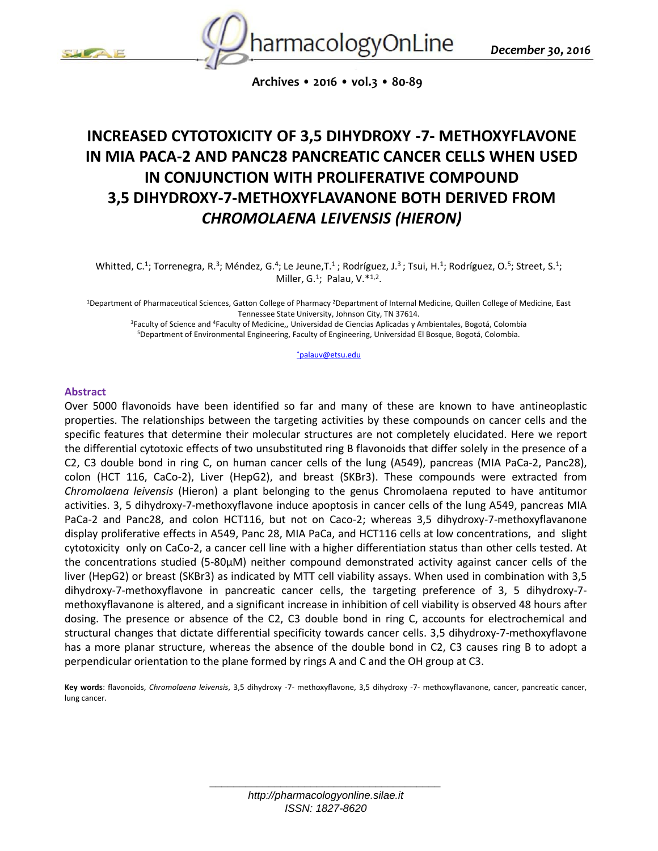

**Archives • 2016 • vol.3 • 80-89**

# **INCREASED CYTOTOXICITY OF 3,5 DIHYDROXY -7- METHOXYFLAVONE IN MIA PACA-2 AND PANC28 PANCREATIC CANCER CELLS WHEN USED IN CONJUNCTION WITH PROLIFERATIVE COMPOUND 3,5 DIHYDROXY-7-METHOXYFLAVANONE BOTH DERIVED FROM**  *CHROMOLAENA LEIVENSIS (HIERON)*

Whitted, C.<sup>1</sup>; Torrenegra, R.<sup>3</sup>; Méndez, G.<sup>4</sup>; Le Jeune,T.<sup>1</sup>; Rodríguez, J.<sup>3</sup>; Tsui, H.<sup>1</sup>; Rodríguez, O.<sup>5</sup>; Street, S.<sup>1</sup>; Miller, G.<sup>1</sup>; Palau, V. $*1,2$ .

<sup>1</sup>Department of Pharmaceutical Sciences, Gatton College of Pharmacy <sup>2</sup>Department of Internal Medicine, Quillen College of Medicine, East Tennessee State University, Johnson City, TN 37614.

<sup>3</sup>Faculty of Science and <sup>4</sup>Faculty of Medicine,, Universidad de Ciencias Aplicadas y Ambientales, Bogotá, Colombia <sup>5</sup>Department of Environmental Engineering, Faculty of Engineering, Universidad El Bosque, Bogotá, Colombia.

[\\*](mailto:*palauv@etsu.edu)[palauv@etsu.edu](mailto:*palauv@etsu.edu)

#### **Abstract**

Over 5000 flavonoids have been identified so far and many of these are known to have antineoplastic properties. The relationships between the targeting activities by these compounds on cancer cells and the specific features that determine their molecular structures are not completely elucidated. Here we report the differential cytotoxic effects of two unsubstituted ring B flavonoids that differ solely in the presence of a C2, C3 double bond in ring C, on human cancer cells of the lung (A549), pancreas (MIA PaCa-2, Panc28), colon (HCT 116, CaCo-2), Liver (HepG2), and breast (SKBr3). These compounds were extracted from *Chromolaena leivensis* (Hieron) a plant belonging to the genus Chromolaena reputed to have antitumor activities. 3, 5 dihydroxy-7-methoxyflavone induce apoptosis in cancer cells of the lung A549, pancreas MIA PaCa-2 and Panc28, and colon HCT116, but not on Caco-2; whereas 3,5 dihydroxy-7-methoxyflavanone display proliferative effects in A549, Panc 28, MIA PaCa, and HCT116 cells at low concentrations, and slight cytotoxicity only on CaCo-2, a cancer cell line with a higher differentiation status than other cells tested. At the concentrations studied (5-80µM) neither compound demonstrated activity against cancer cells of the liver (HepG2) or breast (SKBr3) as indicated by MTT cell viability assays. When used in combination with 3,5 dihydroxy-7-methoxyflavone in pancreatic cancer cells, the targeting preference of 3, 5 dihydroxy-7 methoxyflavanone is altered, and a significant increase in inhibition of cell viability is observed 48 hours after dosing. The presence or absence of the C2, C3 double bond in ring C, accounts for electrochemical and structural changes that dictate differential specificity towards cancer cells. 3,5 dihydroxy-7-methoxyflavone has a more planar structure, whereas the absence of the double bond in C2, C3 causes ring B to adopt a perpendicular orientation to the plane formed by rings A and C and the OH group at C3.

**Key words**: flavonoids, *Chromolaena leivensis*, 3,5 dihydroxy -7- methoxyflavone, 3,5 dihydroxy -7- methoxyflavanone, cancer, pancreatic cancer, lung cancer.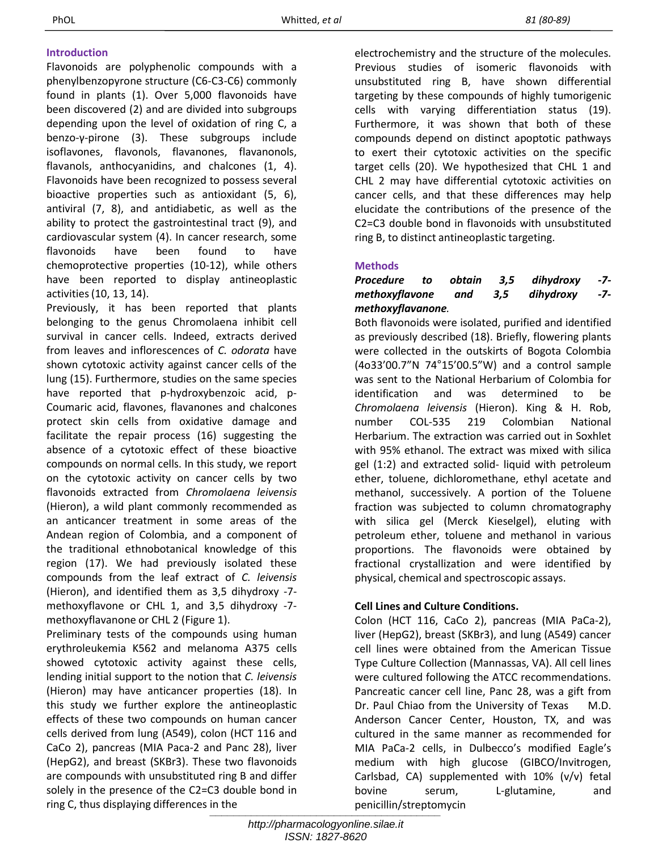# **Introduction**

Flavonoids are polyphenolic compounds with a phenylbenzopyrone structure (C6-C3-C6) commonly found in plants (1). Over 5,000 flavonoids have been discovered (2) and are divided into subgroups depending upon the level of oxidation of ring C, a benzo-γ-pirone (3). These subgroups include isoflavones, flavonols, flavanones, flavanonols, flavanols, anthocyanidins, and chalcones (1, 4). Flavonoids have been recognized to possess several bioactive properties such as antioxidant (5, 6), antiviral (7, 8), and antidiabetic, as well as the ability to protect the gastrointestinal tract (9), and cardiovascular system (4). In cancer research, some flavonoids have been found to have chemoprotective properties (10-12), while others have been reported to display antineoplastic activities(10, 13, 14).

Previously, it has been reported that plants belonging to the genus Chromolaena inhibit cell survival in cancer cells. Indeed, extracts derived from leaves and inflorescences of *C. odorata* have shown cytotoxic activity against cancer cells of the lung (15). Furthermore, studies on the same species have reported that p-hydroxybenzoic acid, p-Coumaric acid, flavones, flavanones and chalcones protect skin cells from oxidative damage and facilitate the repair process (16) suggesting the absence of a cytotoxic effect of these bioactive compounds on normal cells. In this study, we report on the cytotoxic activity on cancer cells by two flavonoids extracted from *Chromolaena leivensis* (Hieron), a wild plant commonly recommended as an anticancer treatment in some areas of the Andean region of Colombia, and a component of the traditional ethnobotanical knowledge of this region (17). We had previously isolated these compounds from the leaf extract of *C. leivensis* (Hieron), and identified them as 3,5 dihydroxy -7 methoxyflavone or CHL 1, and 3,5 dihydroxy -7 methoxyflavanone or CHL 2 (Figure 1).

Preliminary tests of the compounds using human erythroleukemia K562 and melanoma A375 cells showed cytotoxic activity against these cells, lending initial support to the notion that *C. leivensis* (Hieron) may have anticancer properties (18). In this study we further explore the antineoplastic effects of these two compounds on human cancer cells derived from lung (A549), colon (HCT 116 and CaCo 2), pancreas (MIA Paca-2 and Panc 28), liver (HepG2), and breast (SKBr3). These two flavonoids are compounds with unsubstituted ring B and differ solely in the presence of the C2=C3 double bond in ring C, thus displaying differences in the penicillin/streptomycin *\_\_\_\_\_\_\_\_\_\_\_\_\_\_\_\_\_\_\_\_\_\_\_\_\_\_\_\_\_\_\_\_\_\_\_\_\_\_\_*

electrochemistry and the structure of the molecules. Previous studies of isomeric flavonoids with unsubstituted ring B, have shown differential targeting by these compounds of highly tumorigenic cells with varying differentiation status (19). Furthermore, it was shown that both of these compounds depend on distinct apoptotic pathways to exert their cytotoxic activities on the specific target cells (20). We hypothesized that CHL 1 and CHL 2 may have differential cytotoxic activities on cancer cells, and that these differences may help elucidate the contributions of the presence of the C2=C3 double bond in flavonoids with unsubstituted ring B, to distinct antineoplastic targeting.

## **Methods**

## *Procedure to obtain 3,5 dihydroxy -7 methoxyflavone and 3,5 dihydroxy -7 methoxyflavanone.*

Both flavonoids were isolated, purified and identified as previously described (18). Briefly, flowering plants were collected in the outskirts of Bogota Colombia (4o33'00.7"N 74°15'00.5"W) and a control sample was sent to the National Herbarium of Colombia for identification and was determined to be *Chromolaena leivensis* (Hieron). King & H. Rob, number COL-535 219 Colombian National Herbarium. The extraction was carried out in Soxhlet with 95% ethanol. The extract was mixed with silica gel (1:2) and extracted solid- liquid with petroleum ether, toluene, dichloromethane, ethyl acetate and methanol, successively. A portion of the Toluene fraction was subjected to column chromatography with silica gel (Merck Kieselgel), eluting with petroleum ether, toluene and methanol in various proportions. The flavonoids were obtained by fractional crystallization and were identified by physical, chemical and spectroscopic assays.

## **Cell Lines and Culture Conditions.**

Colon (HCT 116, CaCo 2), pancreas (MIA PaCa-2), liver (HepG2), breast (SKBr3), and lung (A549) cancer cell lines were obtained from the American Tissue Type Culture Collection (Mannassas, VA). All cell lines were cultured following the ATCC recommendations. Pancreatic cancer cell line, Panc 28, was a gift from Dr. Paul Chiao from the University of Texas M.D. Anderson Cancer Center, Houston, TX, and was cultured in the same manner as recommended for MIA PaCa-2 cells, in Dulbecco's modified Eagle's medium with high glucose (GIBCO/Invitrogen, Carlsbad, CA) supplemented with 10% (v/v) fetal bovine serum, L-glutamine, and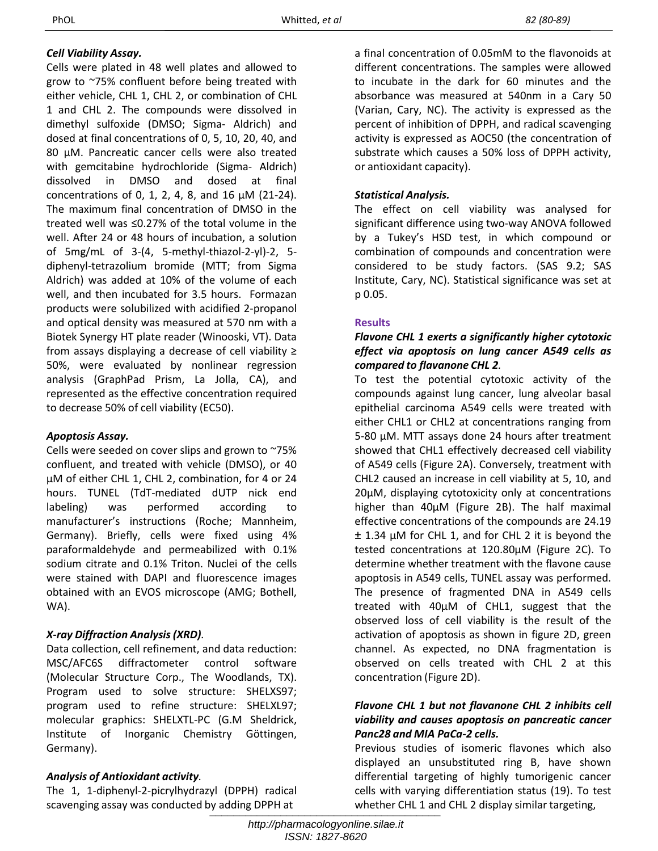# *Cell Viability Assay.*

Cells were plated in 48 well plates and allowed to grow to ~75% confluent before being treated with either vehicle, CHL 1, CHL 2, or combination of CHL 1 and CHL 2. The compounds were dissolved in dimethyl sulfoxide (DMSO; Sigma- Aldrich) and dosed at final concentrations of 0, 5, 10, 20, 40, and 80 µM. Pancreatic cancer cells were also treated with gemcitabine hydrochloride (Sigma- Aldrich) dissolved in DMSO and dosed at final concentrations of 0, 1, 2, 4, 8, and 16 µM (21-24). The maximum final concentration of DMSO in the treated well was ≤0.27% of the total volume in the well. After 24 or 48 hours of incubation, a solution of 5mg/mL of 3-(4, 5-methyl-thiazol-2-yl)-2, 5 diphenyl-tetrazolium bromide (MTT; from Sigma Aldrich) was added at 10% of the volume of each well, and then incubated for 3.5 hours. Formazan products were solubilized with acidified 2-propanol and optical density was measured at 570 nm with a Biotek Synergy HT plate reader (Winooski, VT). Data from assays displaying a decrease of cell viability ≥ 50%, were evaluated by nonlinear regression analysis (GraphPad Prism, La Jolla, CA), and represented as the effective concentration required to decrease 50% of cell viability (EC50).

## *Apoptosis Assay.*

Cells were seeded on cover slips and grown to ~75% confluent, and treated with vehicle (DMSO), or 40 µM of either CHL 1, CHL 2, combination, for 4 or 24 hours. TUNEL (TdT-mediated dUTP nick end labeling) was performed according to manufacturer's instructions (Roche; Mannheim, Germany). Briefly, cells were fixed using 4% paraformaldehyde and permeabilized with 0.1% sodium citrate and 0.1% Triton. Nuclei of the cells were stained with DAPI and fluorescence images obtained with an EVOS microscope (AMG; Bothell, WA).

# *X-ray Diffraction Analysis(XRD).*

Data collection, cell refinement, and data reduction: MSC/AFC6S diffractometer control software (Molecular Structure Corp., The Woodlands, TX). Program used to solve structure: SHELXS97; program used to refine structure: SHELXL97; molecular graphics: SHELXTL-PC (G.M Sheldrick, Institute of Inorganic Chemistry Göttingen, Germany).

# *Analysis of Antioxidant activity.*

The 1, 1-diphenyl-2-picrylhydrazyl (DPPH) radical scavenging assay was conducted by adding DPPH at

a final concentration of 0.05mM to the flavonoids at different concentrations. The samples were allowed to incubate in the dark for 60 minutes and the absorbance was measured at 540nm in a Cary 50 (Varian, Cary, NC). The activity is expressed as the percent of inhibition of DPPH, and radical scavenging activity is expressed as AOC50 (the concentration of substrate which causes a 50% loss of DPPH activity, or antioxidant capacity).

# *Statistical Analysis.*

The effect on cell viability was analysed for significant difference using two-way ANOVA followed by a Tukey's HSD test, in which compound or combination of compounds and concentration were considered to be study factors. (SAS 9.2; SAS Institute, Cary, NC). Statistical significance was set at p 0.05.

# **Results**

## *Flavone CHL 1 exerts a significantly higher cytotoxic effect via apoptosis on lung cancer A549 cells as compared to flavanone CHL 2.*

To test the potential cytotoxic activity of the compounds against lung cancer, lung alveolar basal epithelial carcinoma A549 cells were treated with either CHL1 or CHL2 at concentrations ranging from 5-80 µM. MTT assays done 24 hours after treatment showed that CHL1 effectively decreased cell viability of A549 cells (Figure 2A). Conversely, treatment with CHL2 caused an increase in cell viability at 5, 10, and 20µM, displaying cytotoxicity only at concentrations higher than 40µM (Figure 2B). The half maximal effective concentrations of the compounds are 24.19 ± 1.34 µM for CHL 1, and for CHL 2 it is beyond the tested concentrations at 120.80µM (Figure 2C). To determine whether treatment with the flavone cause apoptosis in A549 cells, TUNEL assay was performed. The presence of fragmented DNA in A549 cells treated with 40µM of CHL1, suggest that the observed loss of cell viability is the result of the activation of apoptosis as shown in figure 2D, green channel. As expected, no DNA fragmentation is observed on cells treated with CHL 2 at this concentration (Figure 2D).

#### *Flavone CHL 1 but not flavanone CHL 2 inhibits cell viability and causes apoptosis on pancreatic cancer Panc28 and MIA PaCa-2 cells.*

Previous studies of isomeric flavones which also displayed an unsubstituted ring B, have shown differential targeting of highly tumorigenic cancer cells with varying differentiation status (19). To test y adding DPPH at **the summan whether CHL 1 and CHL 2 display similar targeting,**<br>————————————————————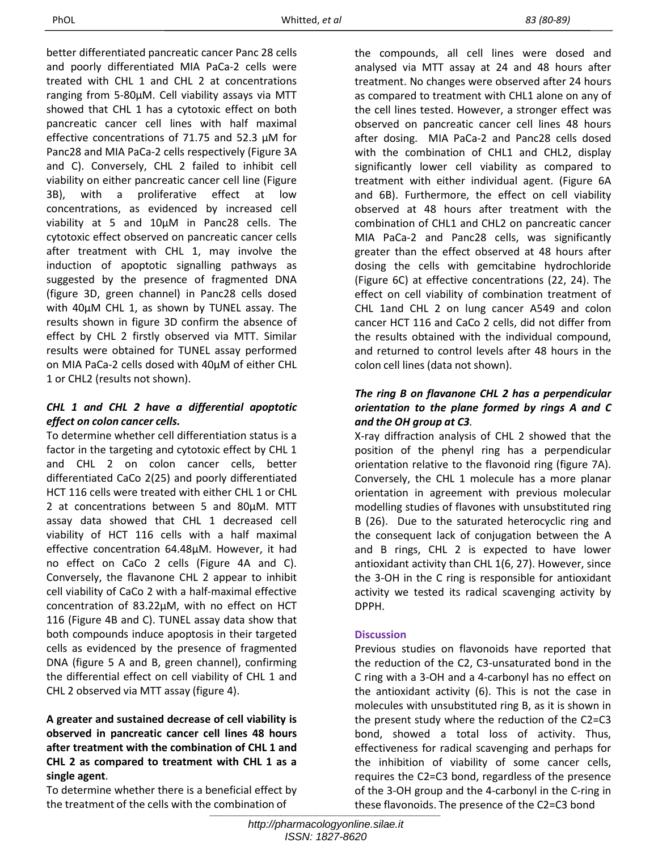better differentiated pancreatic cancer Panc 28 cells and poorly differentiated MIA PaCa-2 cells were treated with CHL 1 and CHL 2 at concentrations ranging from 5-80µM. Cell viability assays via MTT showed that CHL 1 has a cytotoxic effect on both pancreatic cancer cell lines with half maximal effective concentrations of 71.75 and 52.3 µM for Panc28 and MIA PaCa-2 cells respectively (Figure 3A and C). Conversely, CHL 2 failed to inhibit cell viability on either pancreatic cancer cell line (Figure 3B), with a proliferative effect at low concentrations, as evidenced by increased cell viability at 5 and 10µM in Panc28 cells. The cytotoxic effect observed on pancreatic cancer cells after treatment with CHL 1, may involve the induction of apoptotic signalling pathways as suggested by the presence of fragmented DNA (figure 3D, green channel) in Panc28 cells dosed with 40µM CHL 1, as shown by TUNEL assay. The results shown in figure 3D confirm the absence of effect by CHL 2 firstly observed via MTT. Similar results were obtained for TUNEL assay performed on MIA PaCa-2 cells dosed with 40µM of either CHL 1 or CHL2 (results not shown).

# *CHL 1 and CHL 2 have a differential apoptotic effect on colon cancer cells.*

To determine whether cell differentiation status is a factor in the targeting and cytotoxic effect by CHL 1 and CHL 2 on colon cancer cells, better differentiated CaCo 2(25) and poorly differentiated HCT 116 cells were treated with either CHL 1 or CHL 2 at concentrations between 5 and 80µM. MTT assay data showed that CHL 1 decreased cell viability of HCT 116 cells with a half maximal effective concentration 64.48µM. However, it had no effect on CaCo 2 cells (Figure 4A and C). Conversely, the flavanone CHL 2 appear to inhibit cell viability of CaCo 2 with a half-maximal effective concentration of 83.22µM, with no effect on HCT 116 (Figure 4B and C). TUNEL assay data show that both compounds induce apoptosis in their targeted cells as evidenced by the presence of fragmented DNA (figure 5 A and B, green channel), confirming the differential effect on cell viability of CHL 1 and CHL 2 observed via MTT assay (figure 4).

# **A greater and sustained decrease of cell viability is observed in pancreatic cancer cell lines 48 hours after treatment with the combination of CHL 1 and CHL 2 as compared to treatment with CHL 1 as a single agent**.

To determine whether there is a beneficial effect by the treatment of the cells with the combination of

the compounds, all cell lines were dosed and analysed via MTT assay at 24 and 48 hours after treatment. No changes were observed after 24 hours as compared to treatment with CHL1 alone on any of the cell lines tested. However, a stronger effect was observed on pancreatic cancer cell lines 48 hours after dosing. MIA PaCa-2 and Panc28 cells dosed with the combination of CHL1 and CHL2, display significantly lower cell viability as compared to treatment with either individual agent. (Figure 6A and 6B). Furthermore, the effect on cell viability observed at 48 hours after treatment with the combination of CHL1 and CHL2 on pancreatic cancer MIA PaCa-2 and Panc28 cells, was significantly greater than the effect observed at 48 hours after dosing the cells with gemcitabine hydrochloride (Figure 6C) at effective concentrations (22, 24). The effect on cell viability of combination treatment of CHL 1and CHL 2 on lung cancer A549 and colon cancer HCT 116 and CaCo 2 cells, did not differ from the results obtained with the individual compound, and returned to control levels after 48 hours in the colon cell lines (data not shown).

# *The ring B on flavanone CHL 2 has a perpendicular orientation to the plane formed by rings A and C and the OH group at C3.*

X-ray diffraction analysis of CHL 2 showed that the position of the phenyl ring has a perpendicular orientation relative to the flavonoid ring (figure 7A). Conversely, the CHL 1 molecule has a more planar orientation in agreement with previous molecular modelling studies of flavones with unsubstituted ring B (26). Due to the saturated heterocyclic ring and the consequent lack of conjugation between the A and B rings, CHL 2 is expected to have lower antioxidant activity than CHL 1(6, 27). However, since the 3-OH in the C ring is responsible for antioxidant activity we tested its radical scavenging activity by DPPH.

## **Discussion**

Previous studies on flavonoids have reported that the reduction of the C2, C3-unsaturated bond in the C ring with a 3-OH and a 4-carbonyl has no effect on the antioxidant activity (6). This is not the case in molecules with unsubstituted ring B, as it is shown in the present study where the reduction of the C2=C3 bond, showed a total loss of activity. Thus, effectiveness for radical scavenging and perhaps for the inhibition of viability of some cancer cells, requires the C2=C3 bond, regardless of the presence of the 3-OH group and the 4-carbonyl in the C-ring in these flavonoids. The presence of the C2=C3 bond *\_\_\_\_\_\_\_\_\_\_\_\_\_\_\_\_\_\_\_\_\_\_\_\_\_\_\_\_\_\_\_\_\_\_\_\_\_\_\_*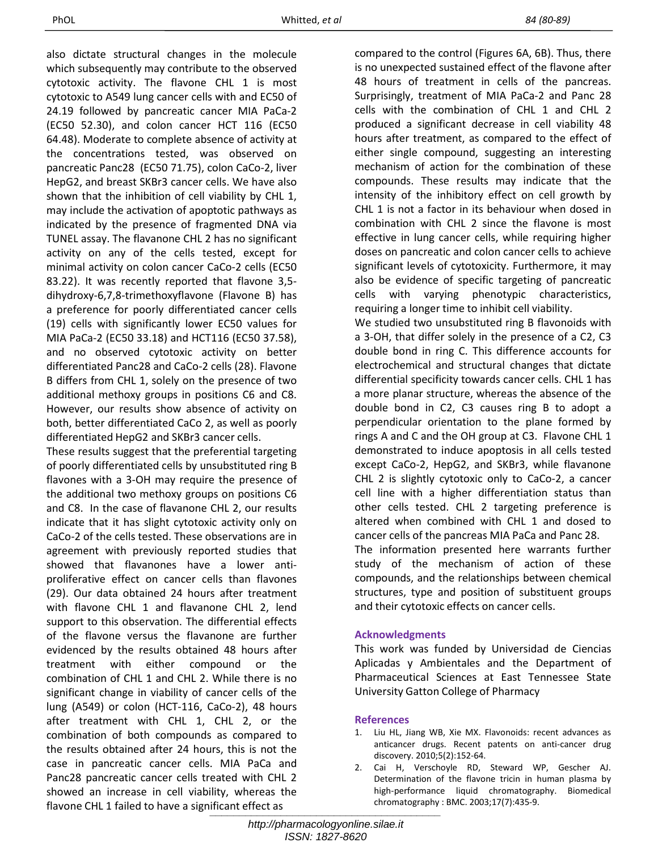also dictate structural changes in the molecule which subsequently may contribute to the observed cytotoxic activity. The flavone CHL 1 is most cytotoxic to A549 lung cancer cells with and EC50 of 24.19 followed by pancreatic cancer MIA PaCa-2 (EC50 52.30), and colon cancer HCT 116 (EC50 64.48). Moderate to complete absence of activity at the concentrations tested, was observed on pancreatic Panc28 (EC50 71.75), colon CaCo-2, liver HepG2, and breast SKBr3 cancer cells. We have also shown that the inhibition of cell viability by CHL 1, may include the activation of apoptotic pathways as indicated by the presence of fragmented DNA via TUNEL assay. The flavanone CHL 2 has no significant activity on any of the cells tested, except for minimal activity on colon cancer CaCo-2 cells (EC50 83.22). It was recently reported that flavone 3,5 dihydroxy-6,7,8-trimethoxyflavone (Flavone B) has a preference for poorly differentiated cancer cells (19) cells with significantly lower EC50 values for MIA PaCa-2 (EC50 33.18) and HCT116 (EC50 37.58), and no observed cytotoxic activity on better differentiated Panc28 and CaCo-2 cells (28). Flavone B differs from CHL 1, solely on the presence of two additional methoxy groups in positions C6 and C8. However, our results show absence of activity on both, better differentiated CaCo 2, as well as poorly differentiated HepG2 and SKBr3 cancer cells.

These results suggest that the preferential targeting of poorly differentiated cells by unsubstituted ring B flavones with a 3-OH may require the presence of the additional two methoxy groups on positions C6 and C8. In the case of flavanone CHL 2, our results indicate that it has slight cytotoxic activity only on CaCo-2 of the cells tested. These observations are in agreement with previously reported studies that showed that flavanones have a lower antiproliferative effect on cancer cells than flavones (29). Our data obtained 24 hours after treatment with flavone CHL 1 and flavanone CHL 2, lend support to this observation. The differential effects of the flavone versus the flavanone are further evidenced by the results obtained 48 hours after treatment with either compound or the combination of CHL 1 and CHL 2. While there is no significant change in viability of cancer cells of the lung (A549) or colon (HCT-116, CaCo-2), 48 hours after treatment with CHL 1, CHL 2, or the combination of both compounds as compared to the results obtained after 24 hours, this is not the case in pancreatic cancer cells. MIA PaCa and Panc28 pancreatic cancer cells treated with CHL 2 showed an increase in cell viability, whereas the flavone CHL 1 failed to have a significant effect as *chromatography* 

compared to the control (Figures 6A, 6B). Thus, there is no unexpected sustained effect of the flavone after 48 hours of treatment in cells of the pancreas. Surprisingly, treatment of MIA PaCa-2 and Panc 28 cells with the combination of CHL 1 and CHL 2 produced a significant decrease in cell viability 48 hours after treatment, as compared to the effect of either single compound, suggesting an interesting mechanism of action for the combination of these compounds. These results may indicate that the intensity of the inhibitory effect on cell growth by CHL 1 is not a factor in its behaviour when dosed in combination with CHL 2 since the flavone is most effective in lung cancer cells, while requiring higher doses on pancreatic and colon cancer cells to achieve significant levels of cytotoxicity. Furthermore, it may also be evidence of specific targeting of pancreatic cells with varying phenotypic characteristics, requiring a longer time to inhibit cell viability.

We studied two unsubstituted ring B flavonoids with a 3-OH, that differ solely in the presence of a C2, C3 double bond in ring C. This difference accounts for electrochemical and structural changes that dictate differential specificity towards cancer cells. CHL 1 has a more planar structure, whereas the absence of the double bond in C2, C3 causes ring B to adopt a perpendicular orientation to the plane formed by rings A and C and the OH group at C3. Flavone CHL 1 demonstrated to induce apoptosis in all cells tested except CaCo-2, HepG2, and SKBr3, while flavanone CHL 2 is slightly cytotoxic only to CaCo-2, a cancer cell line with a higher differentiation status than other cells tested. CHL 2 targeting preference is altered when combined with CHL 1 and dosed to cancer cells of the pancreas MIA PaCa and Panc 28.

The information presented here warrants further study of the mechanism of action of these compounds, and the relationships between chemical structures, type and position of substituent groups and their cytotoxic effects on cancer cells.

#### **Acknowledgments**

This work was funded by Universidad de Ciencias Aplicadas y Ambientales and the Department of Pharmaceutical Sciences at East Tennessee State University Gatton College of Pharmacy

#### **References**

- 1. Liu HL, Jiang WB, Xie MX. Flavonoids: recent advances as anticancer drugs. Recent patents on anti-cancer drug discovery. 2010;5(2):152-64.
- 2. Cai H, Verschoyle RD, Steward WP, Gescher AJ. Determination of the flavone tricin in human plasma by high-performance liquid chromatography. Biomedical chromatography : BMC. 2003;17(7):435-9.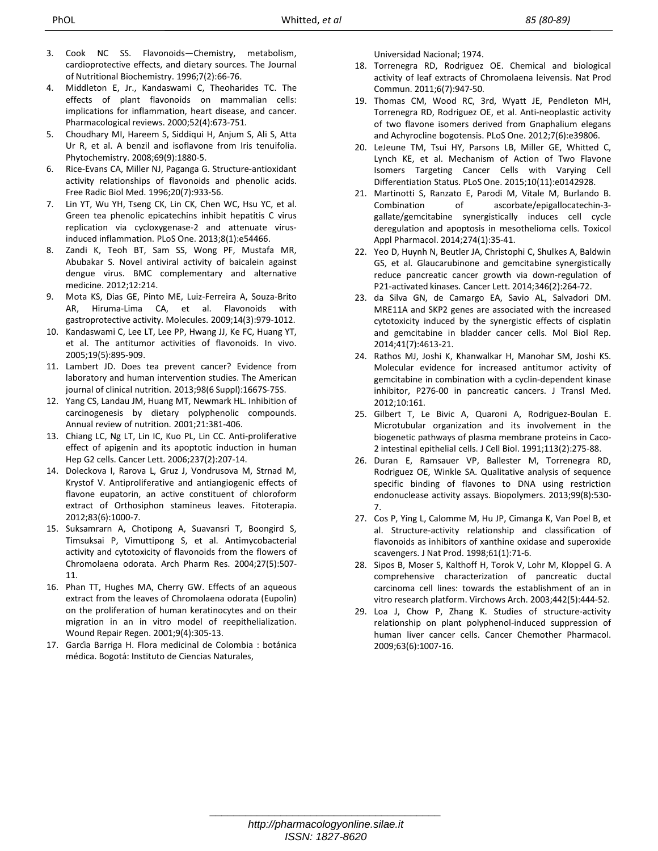- 3. Cook NC SS. Flavonoids—Chemistry, metabolism, cardioprotective effects, and dietary sources. The Journal of Nutritional Biochemistry. 1996;7(2):66-76.
- 4. Middleton E, Jr., Kandaswami C, Theoharides TC. The effects of plant flavonoids on mammalian cells: implications for inflammation, heart disease, and cancer. Pharmacological reviews. 2000;52(4):673-751.
- 5. Choudhary MI, Hareem S, Siddiqui H, Anjum S, Ali S, Atta Ur R, et al. A benzil and isoflavone from Iris tenuifolia. Phytochemistry. 2008;69(9):1880-5.
- 6. Rice-Evans CA, Miller NJ, Paganga G. Structure-antioxidant activity relationships of flavonoids and phenolic acids. Free Radic Biol Med. 1996;20(7):933-56.
- 7. Lin YT, Wu YH, Tseng CK, Lin CK, Chen WC, Hsu YC, et al. Green tea phenolic epicatechins inhibit hepatitis C virus replication via cycloxygenase-2 and attenuate virusinduced inflammation. PLoS One. 2013;8(1):e54466.
- 8. Zandi K, Teoh BT, Sam SS, Wong PF, Mustafa MR, Abubakar S. Novel antiviral activity of baicalein against dengue virus. BMC complementary and alternative medicine. 2012;12:214.
- 9. Mota KS, Dias GE, Pinto ME, Luiz-Ferreira A, Souza-Brito AR, Hiruma-Lima CA, et al. Flavonoids with gastroprotective activity. Molecules. 2009;14(3):979-1012.
- 10. Kandaswami C, Lee LT, Lee PP, Hwang JJ, Ke FC, Huang YT, et al. The antitumor activities of flavonoids. In vivo. 2005;19(5):895-909.
- 11. Lambert JD. Does tea prevent cancer? Evidence from laboratory and human intervention studies. The American journal of clinical nutrition. 2013;98(6 Suppl):1667S-75S.
- 12. Yang CS, Landau JM, Huang MT, Newmark HL. Inhibition of carcinogenesis by dietary polyphenolic compounds. Annual review of nutrition. 2001;21:381-406.
- 13. Chiang LC, Ng LT, Lin IC, Kuo PL, Lin CC. Anti-proliferative effect of apigenin and its apoptotic induction in human Hep G2 cells. Cancer Lett. 2006;237(2):207-14.
- 14. Doleckova I, Rarova L, Gruz J, Vondrusova M, Strnad M, Krystof V. Antiproliferative and antiangiogenic effects of flavone eupatorin, an active constituent of chloroform extract of Orthosiphon stamineus leaves. Fitoterapia. 2012;83(6):1000-7.
- 15. Suksamrarn A, Chotipong A, Suavansri T, Boongird S, Timsuksai P, Vimuttipong S, et al. Antimycobacterial activity and cytotoxicity of flavonoids from the flowers of Chromolaena odorata. Arch Pharm Res. 2004;27(5):507- 11.
- 16. Phan TT, Hughes MA, Cherry GW. Effects of an aqueous extract from the leaves of Chromolaena odorata (Eupolin) on the proliferation of human keratinocytes and on their migration in an in vitro model of reepithelialization. Wound Repair Regen. 2001;9(4):305-13.
- 17. Garcia Barriga H. Flora medicinal de Colombia : botánica médica. Bogotá: Instituto de Ciencias Naturales,

Universidad Nacional; 1974.

- 18. Torrenegra RD, Rodriguez OE. Chemical and biological activity of leaf extracts of Chromolaena leivensis. Nat Prod Commun. 2011;6(7):947-50.
- 19. Thomas CM, Wood RC, 3rd, Wyatt JE, Pendleton MH, Torrenegra RD, Rodriguez OE, et al. Anti-neoplastic activity of two flavone isomers derived from Gnaphalium elegans and Achyrocline bogotensis. PLoS One. 2012;7(6):e39806.
- 20. LeJeune TM, Tsui HY, Parsons LB, Miller GE, Whitted C, Lynch KE, et al. Mechanism of Action of Two Flavone Isomers Targeting Cancer Cells with Varying Cell Differentiation Status. PLoS One. 2015;10(11):e0142928.
- 21. Martinotti S, Ranzato E, Parodi M, Vitale M, Burlando B. Combination of ascorbate/epigallocatechin-3 gallate/gemcitabine synergistically induces cell cycle deregulation and apoptosis in mesothelioma cells. Toxicol Appl Pharmacol. 2014;274(1):35-41.
- 22. Yeo D, Huynh N, Beutler JA, Christophi C, Shulkes A, Baldwin GS, et al. Glaucarubinone and gemcitabine synergistically reduce pancreatic cancer growth via down-regulation of P21-activated kinases. Cancer Lett. 2014;346(2):264-72.
- 23. da Silva GN, de Camargo EA, Savio AL, Salvadori DM. MRE11A and SKP2 genes are associated with the increased cytotoxicity induced by the synergistic effects of cisplatin and gemcitabine in bladder cancer cells. Mol Biol Rep. 2014;41(7):4613-21.
- 24. Rathos MJ, Joshi K, Khanwalkar H, Manohar SM, Joshi KS. Molecular evidence for increased antitumor activity of gemcitabine in combination with a cyclin-dependent kinase inhibitor, P276-00 in pancreatic cancers. J Transl Med. 2012;10:161.
- 25. Gilbert T, Le Bivic A, Quaroni A, Rodriguez-Boulan E. Microtubular organization and its involvement in the biogenetic pathways of plasma membrane proteins in Caco-2 intestinal epithelial cells. J Cell Biol. 1991;113(2):275-88.
- 26. Duran E, Ramsauer VP, Ballester M, Torrenegra RD, Rodriguez OE, Winkle SA. Qualitative analysis of sequence specific binding of flavones to DNA using restriction endonuclease activity assays. Biopolymers. 2013;99(8):530- 7.
- 27. Cos P, Ying L, Calomme M, Hu JP, Cimanga K, Van Poel B, et al. Structure-activity relationship and classification of flavonoids as inhibitors of xanthine oxidase and superoxide scavengers. J Nat Prod. 1998;61(1):71-6.
- 28. Sipos B, Moser S, Kalthoff H, Torok V, Lohr M, Kloppel G. A comprehensive characterization of pancreatic ductal carcinoma cell lines: towards the establishment of an in vitro research platform. Virchows Arch. 2003;442(5):444-52.
- 29. Loa J, Chow P, Zhang K. Studies of structure-activity relationship on plant polyphenol-induced suppression of human liver cancer cells. Cancer Chemother Pharmacol. 2009;63(6):1007-16.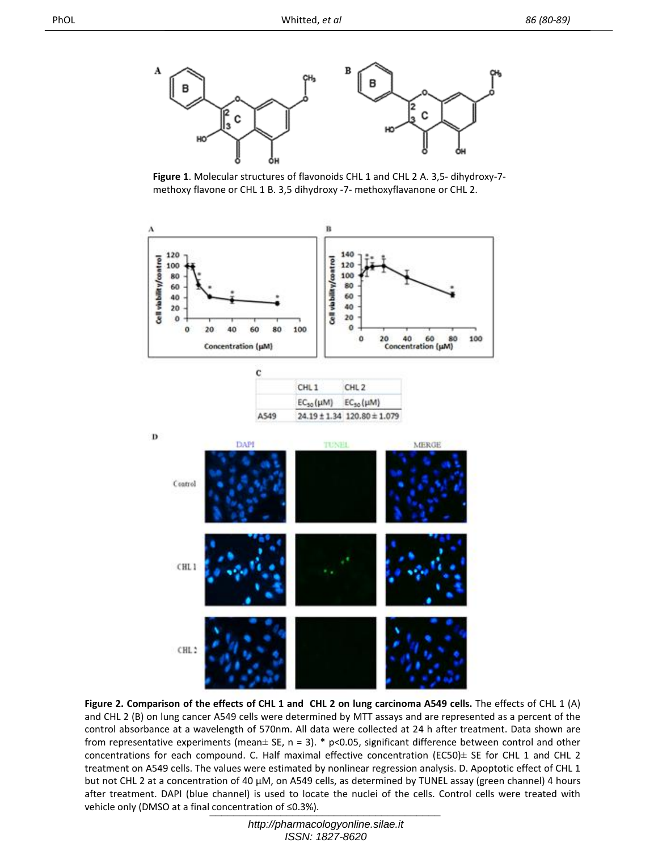

**Figure 1**. Molecular structures of flavonoids CHL 1 and CHL 2 A. 3,5- dihydroxy-7 methoxy flavone or CHL 1 B. 3,5 dihydroxy -7- methoxyflavanone or CHL 2.



vehicle only (DMSO at a final concentration of ≤0.3%). **Figure 2. Comparison of the effects of CHL 1 and CHL 2 on lung carcinoma A549 cells.** The effects of CHL 1 (A) and CHL 2 (B) on lung cancer A549 cells were determined by MTT assays and are represented as a percent of the control absorbance at a wavelength of 570nm. All data were collected at 24 h after treatment. Data shown are from representative experiments (mean $\pm$  SE, n = 3). \* p<0.05, significant difference between control and other concentrations for each compound. C. Half maximal effective concentration (EC50) $\pm$  SE for CHL 1 and CHL 2 treatment on A549 cells. The values were estimated by nonlinear regression analysis. D. Apoptotic effect of CHL 1 but not CHL 2 at a concentration of 40 µM, on A549 cells, as determined by TUNEL assay (green channel) 4 hours after treatment. DAPI (blue channel) is used to locate the nuclei of the cells. Control cells were treated with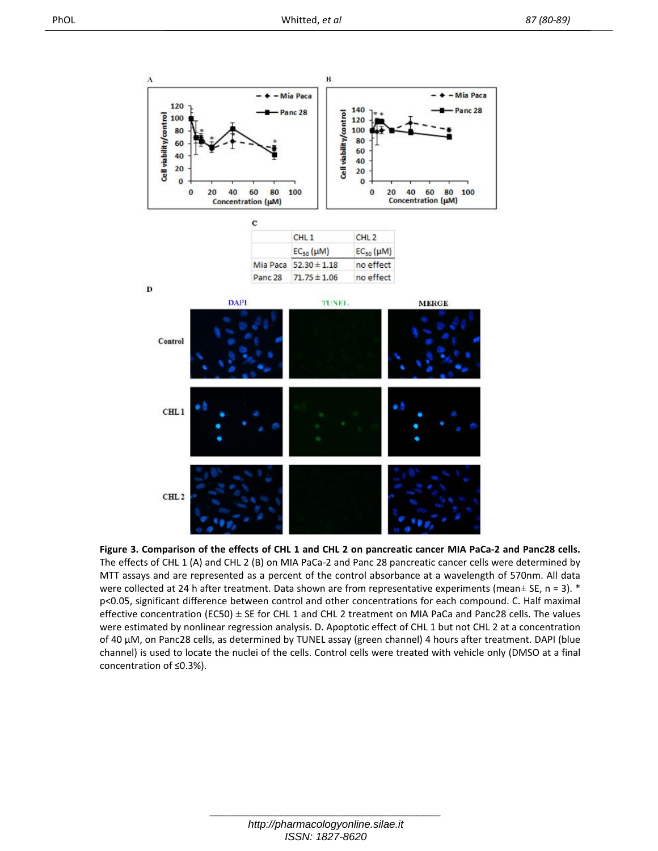

Figure 3. Comparison of the effects of CHL 1 and CHL 2 on pancreatic cancer MIA PaCa-2 and Panc28 cells. The effects of CHL 1 (A) and CHL 2 (B) on MIA PaCa-2 and Panc 28 pancreatic cancer cells were determined by MTT assays and are represented as a percent of the control absorbance at a wavelength of 570nm. All data were collected at 24 h after treatment. Data shown are from representative experiments (mean± SE, n = 3). \* p<0.05, significant difference between control and other concentrations for each compound. C. Half maximal effective concentration (EC50)  $\pm$  SE for CHL 1 and CHL 2 treatment on MIA PaCa and Panc28 cells. The values were estimated by nonlinear regression analysis. D. Apoptotic effect of CHL 1 but not CHL 2 at a concentration of 40 µM, on Panc28 cells, as determined by TUNEL assay (green channel) 4 hours after treatment. DAPI (blue channel) is used to locate the nuclei of the cells. Control cells were treated with vehicle only (DMSO at a final concentration of ≤0.3%).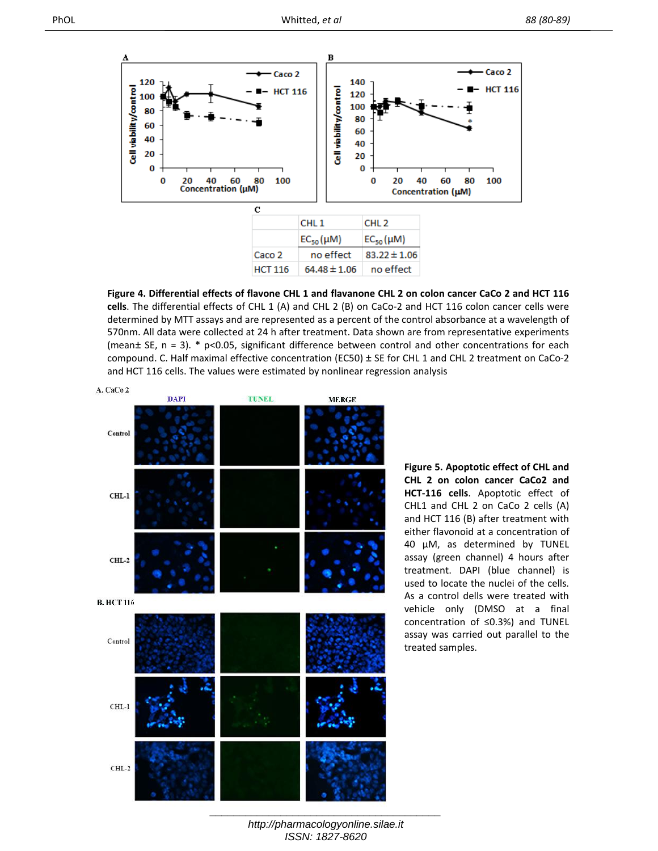

Figure 4. Differential effects of flavone CHL 1 and flavanone CHL 2 on colon cancer CaCo 2 and HCT 116 **cells**. The differential effects of CHL 1 (A) and CHL 2 (B) on CaCo-2 and HCT 116 colon cancer cells were determined by MTT assays and are represented as a percent of the control absorbance at a wavelength of 570nm. All data were collected at 24 h after treatment. Data shown are from representative experiments (mean $\pm$  SE, n = 3). \* p<0.05, significant difference between control and other concentrations for each compound. C. Half maximal effective concentration (EC50) ± SE for CHL 1 and CHL 2 treatment on CaCo-2 and HCT 116 cells. The values were estimated by nonlinear regression analysis



**Figure 5. Apoptotic effect of CHL and CHL 2 on colon cancer CaCo2 and HCT-116 cells**. Apoptotic effect of CHL1 and CHL 2 on CaCo 2 cells (A) and HCT 116 (B) after treatment with either flavonoid at a concentration of 40 µM, as determined by TUNEL assay (green channel) 4 hours after treatment. DAPI (blue channel) is used to locate the nuclei of the cells. As a control dells were treated with vehicle only (DMSO at a final concentration of ≤0.3%) and TUNEL assay was carried out parallel to the treated samples.

*\_\_\_\_\_\_\_\_\_\_\_\_\_\_\_\_\_\_\_\_\_\_\_\_\_\_\_\_\_\_\_\_\_\_\_\_\_\_\_ http://pharmacologyonline.silae.it ISSN: 1827-8620*